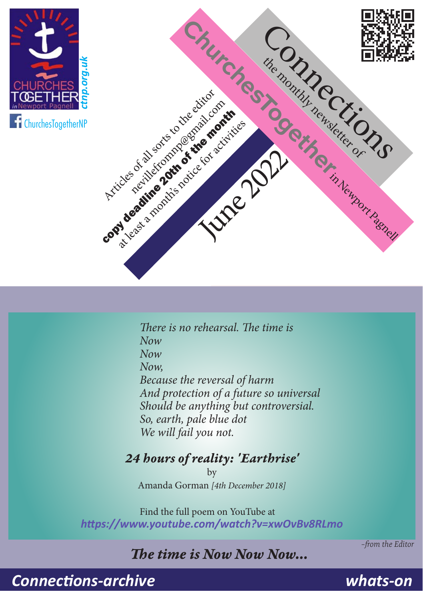



*There is no rehearsal. The time is Now Now Now, Because the reversal of harm And protection of a future so universal Should be anything but controversial. So, earth, pale blue dot We will fail you not.*

#### *24 hours of reality: 'Earthrise'*

by Amanda Gorman *[4th December 2018]*

Find the full poem on YouTube at *<https://www.youtube.com/watch?v=xwOvBv8RLmo>*

#### *The time is Now Now Now…*

*–from the Editor*

*[Connections-archive](https://ctnp.org.uk/about/page4)*

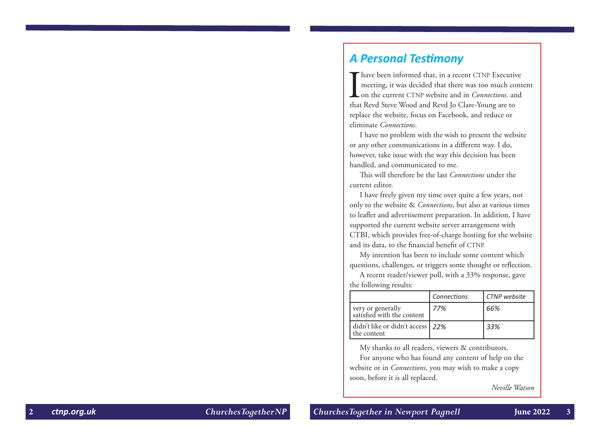### *A Personal Testimony*

Thave been informed that, in a recent CTNP Executive<br>meeting, it was decided that there was too much cont<br>on the current CTNP website and in *Connections*. and<br>that Revd Steve Wood and Revd Jo Clare-Young are to meeting, it was decided that there was too much content on the current CTNP website and in *Connections*. and that Revd Steve Wood and Revd Jo Clare-Young are to replace the website, focus on Facebook, and reduce or eliminate *Connections* .

I have no problem with the wish to present the website or any other communications in a different way. I do, however, take issue with the way this decision has been handled, and communicated to me.

This will therefore be the last *Connections* under the current editor.

I have freely given my time over quite a few years, not only to the website & *Connections*, but also at various times to leaflet and advertisement preparation. In addition, I have supported the current website server arrangement with CTBI, which provides free-of-charge hosting for the website and its data, to the financial benefit of CTNP.

My intention has been to include some content which questions, challenges, or triggers some thought or reflection.

A recent reader/viewer poll, with a 33% response, gave the following results:

|  |                                                 | Connections | CTNP website |
|--|-------------------------------------------------|-------------|--------------|
|  | very or generally<br>satisfied with the content | 77%         | 66%          |
|  | didn't like or didn't access 22%<br>the content |             | 33%          |

My thanks to all readers, viewers & contributors.

For anyone who has found any content of help on the website or in *Connections*, you may wish to make a copy soon, before it is all replaced.

*Neville Watson*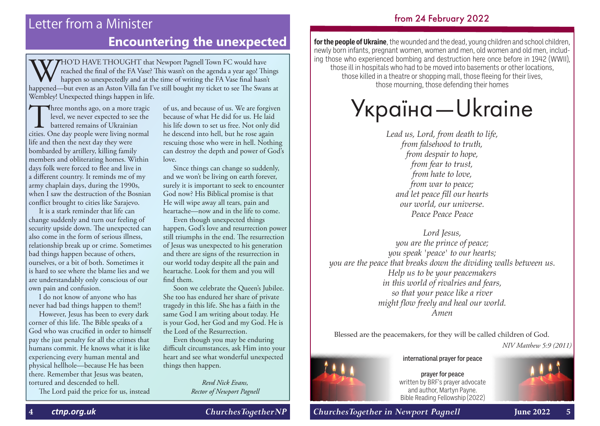#### from 24 February 2022

## Letter from a Minister **Encountering the unexpected for the people of Ukraine**, the wounded and the dead, young children and school children,

**WHO'D HAVE THOUGHT that Newport Pagnell Town FC would have** reached the final of the FA Vase? This wasn't on the agenda a year ago! Things happen so unexpectedly and at the time of writing the FA Vase final hasn't happened—but even as an Aston Villa fan I've still bought my ticket to see The Swans at Wembley! Unexpected things happen in life.

Three months ago, on a more tragic<br>level, we never expected to see the<br>battered remains of Ukrainian<br>cities. One day people were living normal level, we never expected to see the **L** battered remains of Ukrainian life and then the next day they were bombarded by artillery, killing family members and obliterating homes. Within days folk were forced to flee and live in a different country. It reminds me of my army chaplain days, during the 1990s, when I saw the destruction of the Bosnian conflict brought to cities like Sarajevo.

It is a stark reminder that life can change suddenly and turn our feeling of security upside down. The unexpected can also come in the form of serious illness, relationship break up or crime. Sometimes bad things happen because of others, ourselves, or a bit of both. Sometimes it is hard to see where the blame lies and we are understandably only conscious of our own pain and confusion.

I do not know of anyone who has never had bad things happen to them?!

However, Jesus has been to every dark corner of this life. The Bible speaks of a God who was crucified in order to himself pay the just penalty for all the crimes that humans commit. He knows what it is like experiencing every human mental and physical hellhole—because He has been there. Remember that Jesus was beaten, tortured and descended to hell.

The Lord paid the price for us, instead

of us, and because of us. We are forgiven because of what He did for us. He laid his life down to set us free. Not only did he descend into hell, but he rose again rescuing those who were in hell. Nothing can destroy the depth and power of God's love.

Since things can change so suddenly, and we won't be living on earth forever, surely it is important to seek to encounter God now? His Biblical promise is that He will wipe away all tears, pain and heartache—now and in the life to come.

Even though unexpected things happen, God's love and resurrection power still triumphs in the end. The resurrection of Jesus was unexpected to his generation and there are signs of the resurrection in our world today despite all the pain and heartache. Look for them and you will find them.

Soon we celebrate the Queen's Jubilee. She too has endured her share of private tragedy in this life. She has a faith in the same God I am writing about today. He is your God, her God and my God. He is the Lord of the Resurrection.

Even though you may be enduring difficult circumstances, ask Him into your heart and see what wonderful unexpected things then happen.

> *Revd Nick Evans, Rector of Newport Pagnell*

newly born infants, pregnant women, women and men, old women and old men, including those who experienced bombing and destruction here once before in 1942 (WWII), those ill in hospitals who had to be moved into basements or other locations, those killed in a theatre or shopping mall, those fleeing for their lives, those mourning, those defending their homes

## Україна—Ukraine

*Lead us, Lord, from death to life, from falsehood to truth, from despair to hope, from fear to trust, from hate to love, from war to peace; and let peace fill our hearts our world, our universe. Peace Peace Peace*

*Lord Jesus, you are the prince of peace; you speak 'peace' to our hearts; you are the peace that breaks down the dividing walls between us. Help us to be your peacemakers in this world of rivalries and fears, so that your peace like a river might flow freely and heal our world. Amen*

Blessed are the peacemakers, for they will be called children of God. *NIV Matthew 5:9 (2011)*



international prayer for peace

prayer for peace written by BRF's prayer advocate and author, Martyn Payne. Bible Reading Fellowship (2022)

**4** *[ctnp.org.uk](https://ctnp.org.uk) ChurchesTogetherNP ChurchesTogether in Newport Pagnell* **June 2022 5**

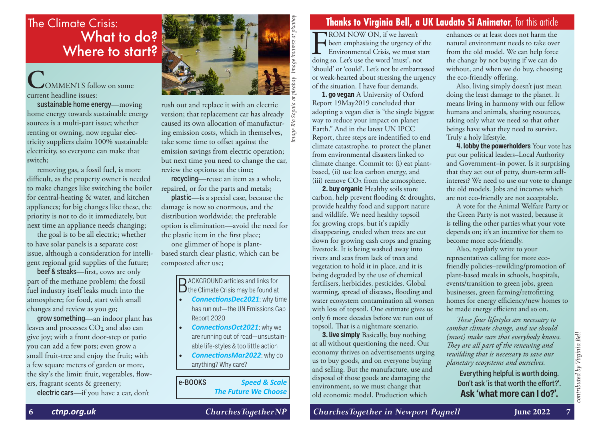## What to do? Where to start?

### **C**OMMENTS follow on some current headline issues:

sustainable home energy—moving home energy towards sustainable energy sources is a multi-part issue; whether renting or owning, now regular electricity suppliers claim 100% sustainable electricity, so everyone can make that switch;

removing gas, a fossil fuel, is more difficult, as the property owner is needed to make changes like switching the boiler for central-heating & water, and kitchen appliances; for big changes like these, the priority is not to do it immediately, but next time an appliance needs changing;

the goal is to be all electric; whether to have solar panels is a separate cost issue, although a consideration for intelligent regional grid supplies of the future;

beef & steaks—first, cows are only part of the methane problem; the fossil fuel industry itself leaks much into the atmosphere; for food, start with small changes and review as you go;

grow something—an indoor plant has leaves and processes CO<sub>2</sub> and also can give joy; with a front door-step or patio you can add a few pots; even grow a small fruit-tree and enjoy the fruit; with a few square meters of garden or more, the sky's the limit: fruit, vegetables, flowers, fragrant scents & greenery;

electric cars—if you have a car, don't



rush out and replace it with an electric version; that replacement car has already Ria: caused its own allocation of manufacturing emission costs, which in themselves, take some time to offset against the emission savings from electric operation; but next time you need to change the car, review the options at the time;

recycling—reuse an item as a whole, repaired, or for the parts and metals;

plastic—is a special case, because the damage is now so enormous, and the distribution worldwide; the preferable option is elimination—avoid the need for the plastic item in the first place;

one glimmer of hope is plantbased starch clear plastic, which can be composted after use;

> **D** ACKGROUND articles and links for  $D$  the Climate Crisis may be found at

- *[ConnectionsDec2021](https://ctnp.org.uk/docstore/189.pdf)*: why time has run out—the UN Emissions Gap Report 2020
- *[ConnectionsOct2021](https://ctnp.org.uk/docstore/185.pdf)*: why we are running out of road—unsustainable life-styles & too little action
- *[ConnectionsMar2022](https://ctnp.org.uk/docstore/193.pdf)*: why do anything? Why care?

e-BOOKS *[Speed & Scale](https://www.kobo.com/gb/en/ebook/speed-scale-3) [The Future We Choose](https://www.kobo.com/gb/en/ebook/the-future-we-choose-surviving-the-climate-crisis)*

**FROM NOW ON, if we haven't**<br>been emphasising the urgency of<br>Environmental Crisis, we must s<br>doing so. Let's use the word 'must', no been emphasising the urgency of the Environmental Crisis, we must start doing so. Let's use the word 'must', not 'should' or 'could'. Let's not be embarrassed or weak-hearted about stressing the urgency of the situation. I have four demands.

**1. go vegan** A University of Oxford Report 19May2019 concluded that adopting a vegan diet is "the single biggest way to reduce your impact on planet Earth." And in the latest UN IPCC Report, three steps are indentified to end climate catastrophe, to protect the planet from environmental disasters linked to climate change. Commit to: (i) eat plantbased, (ii) use less carbon energy, and (iii) remove  $CO<sub>2</sub>$  from the atmosphere.

**2. buy organic** Healthy soils store carbon, help prevent flooding & droughts, provide healthy food and support nature and wildlife. We need healthy topsoil for growing crops, but it's rapidly disappearing, eroded when trees are cut down for growing cash crops and grazing livestock. It is being washed away into rivers and seas from lack of trees and vegetation to hold it in place, and it is being degraded by the use of chemical fertilisers, herbicides, pesticides. Global warming, spread of diseases, flooding and water ecosystem contamination all worsen with loss of topsoil. One estimate gives us only 6 more decades before we run out of topsoil. That is a nightmare scenario.

**3. live simply** Basically, buy nothing at all without questioning the need. Our economy thrives on advertisements urging us to buy goods, and on everyone buying and selling. But the manufacture, use and disposal of those goods are damaging the environment, so we must change that old economic model. Production which

enhances or at least does not harm the natural environment needs to take over from the old model. We can help force the change by not buying if we can do without, and when we do buy, choosing the eco-friendly offering.

Also, living simply doesn't just mean doing the least damage to the planet. It means living in harmony with our fellow humans and animals, sharing resources, taking only what we need so that other beings have what they need to survive. Truly a holy lifestyle.

**4. lobby the powerholders** Your vote has put our political leaders–Local Authority and Government–in power. Is it surprising that they act out of petty, short-term selfinterest? We need to use our vote to change the old models. Jobs and incomes which are not eco-friendly are not acceptable.

A vote for the Animal Welfare Party or the Green Party is not wasted, because it is telling the other parties what your vote depends on; it's an incentive for them to become more eco-friendly.

Also, regularly write to your representatives calling for more ecofriendly policies–rewilding/promotion of plant-based meals in schools, hospitals, events/transition to green jobs, green businesses, green farming/retrofitting homes for energy efficiency/new homes to be made energy efficient and so on.

*These four lifestyles are necessary to combat climate change, and we should (must) make sure that everybody knows. They are all part of the renewing and rewilding that is necessary to save our planetary ecosystems and ourselves.*

Everything helpful is worth doing. Don't ask 'is that worth the effort?'. **Ask 'what more can I do?'.**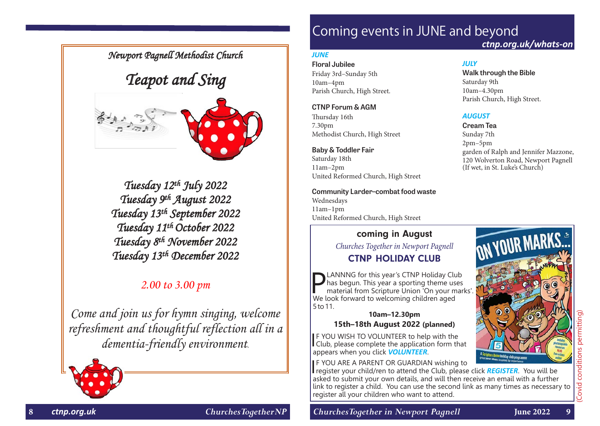*Newport Pagnell Methodist Church* 

## *Teapot and Sing*



*Tuesday 12th July 2022 Tuesday 9th August 2022 Tuesday 13th September 2022 Tuesday 11th October 2022 Tuesday 8th November 2022 Tuesday 13th December 2022* 

#### *2.00 to 3.00 pm*

*Come and join us for hymn singing, welcome refreshment and thoughtful reflection all in a dementia-friendly environment.* 



## Coming events in JUNE and beyond

*JULY*

Saturday 9th 10am–4.30pm

*AUGUST* **Cream Tea** Sunday 7th 2pm–5pm

**Walk through the Bible**

Parish Church, High Street.

(If wet, in St. Luke's Church)

garden of Ralph and Jennifer Mazzone, 120 Wolverton Road, Newport Pagnell

*[ctnp.org.uk/whats-on](https://ctnp.org.uk/whats-on)*

#### *JUNE*

**Floral Jubilee**  Friday 3rd–Sunday 5th 10am–4pm Parish Church, High Street.

#### **CTNP Forum & AGM**

Thursday 16th 7.30pm Methodist Church, High Street

#### **Baby & Toddler Fair**

Saturday 18th 11am–2pm United Reformed Church, High Street

**Community Larder–combat food waste** Wednesdays 11am–1pm United Reformed Church, High Street

#### coming in August

*Churches Together in Newport Pagnell* CTNP HOLIDAY CLUB

**PLANNNG** for this year's CTNP Holiday Club<br>
material from Scripture Union 'On your marks'.<br>
We look forward to welcoming children aged has begun. This year a sporting theme uses We look forward to welcoming children aged 5 to 11.

#### **10am–12.30pm 15th–18th August 2022 (planned)**

**IF YOU WISH TO VOLUNTEER to help with the Club, please complete the application form that F YOU WISH TO VOLUNTEER to help with the** appears when you click *[VOLUNTEER](https://npbc.churchsuite.com/forms/rqgjczk3)*.

**IF YOU ARE A PARENT OR GUARDIAN wishing to** 

IF YOU ARE A PARENT OR GUARDIAN wishing to register your child/ren to attend the Club, please click **[REGISTER](https://npbc.churchsuite.com/forms/dbcclnta)**. You will be asked to submit your own details, and will then receive an email with a further link to register a child. You can use the second link as many times as necessary to register all your children who want to attend.



**8** *[ctnp.org.uk](https://ctnp.org.uk) ChurchesTogetherNP ChurchesTogether in Newport Pagnell* **June 2022 9**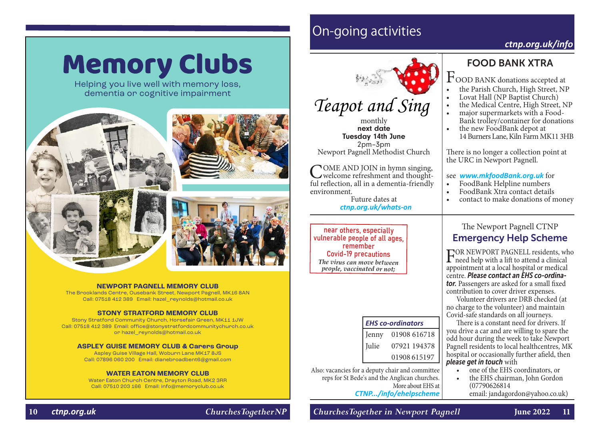# **Memory Clubs**

Helping you live well with memory loss, dementia or cognitive impairment





#### **NEWPORT PAGNELL MEMORY CLUB**

The Brooklands Centre, Ousebank Street, Newport Pagnell, MK16 8AN Call: 07518 412 389 Email: hazel\_reynolds@hotmail.co.uk

#### **STONY STRATFORD MEMORY CLUB**

Stony Stratford Community Church, Horsefair Green, MK11 1JW Call: 07518 412 389 Email: office@stonystratfordcommunitychurch.co.uk or hazel\_reynolds@hotmail.co.uk

#### **ASPLEY GUISE MEMORY CLUB & Carers Group**

Aspley Guise Village Hall, Woburn Lane MK17 8JS Call: 07896 060 200 Email: dianebroadbent6@gmail.com

#### **WATER EATON MEMORY CLUB**

Water Eaton Church Centre, Drayton Road, MK2 3RR Call: 07510 203 166 Email: info@memoryclub.co.uk

## On-going activities

#### *[ctnp.org.uk/](https://ctnp.org.uk/info)info*



monthly next date Tuesday 14th June 2pm–3pm Newport Pagnell Methodist Church

COME AND JOIN in hymn singing,<br>welcome refreshment and thoughtful reflection, all in a dementia-friendly environment.

Future dates at *[ctnp.org.uk/whats-on](http://ctnp.org.uk/whats-on)*

near others, especially vulnerable people of all ages, remember Covid-19 precautions *The virus can move between people, vaccinated or not;*

#### *EHS co-ordinators*

| Jenny | 01908 616718 |
|-------|--------------|
| Julie | 07921 194378 |
|       | 01908 615197 |

Also: vacancies for a deputy chair and committee reps for St Bede's and the Anglican churches. More about EHS at *[CTNP.../info/ehelpscheme](https://ctnp.org.uk/info/ehelpscheme)*

#### FOOD BANK XTRA

 $\Gamma$ OOD BANK donations accepted at<br>• the Parish Church, High Street, NP

- 
- 
- 
- the Parish Church, High Street, NP Lovat Hall (NP Baptist Church) the Medical Centre, High Street, NP major supermarkets with a Food- Bank trolley/container for donations the new FoodBank depot at
- 14 Burners Lane, Kiln Farm MK11 3HB

There is no longer a collection point at the URC in Newport Pagnell.

### see *[www.mkfoodBank.org.uk](http://www.mkfoodBank.org.uk)* for

- 
- 
- FoodBank Xtra contact details<br>contact to make donations of money

#### The Newport Pagnell CTNP Emergency Help Scheme

FOR NEWPORT PAGNELL residents, who need help with a lift to attend a clinical<br>appointment at a local bospital or medical appointment at a local hospital or medical centre. *Please contact an EHS co-ordina***tor.** Passengers are asked for a small fixed contribution to cover driver expenses.

Volunteer drivers are DRB checked (at no charge to the volunteer) and maintain Covid-safe standards on all journeys.

There is a constant need for drivers. If you drive a car and are willing to spare the odd hour during the week to take Newport Pagnell residents to local healthcentres, MK hospital or occasionally further afield, then *please get in touch* with

- one of the EHS coordinators, or
- the EHS chairman, John Gordon (07790626814 email: jandagordon@yahoo.co.uk)

#### **10** *[ctnp.org.uk](https://ctnp.org.uk) ChurchesTogetherNP ChurchesTogether in Newport Pagnell* **June 2022 11**